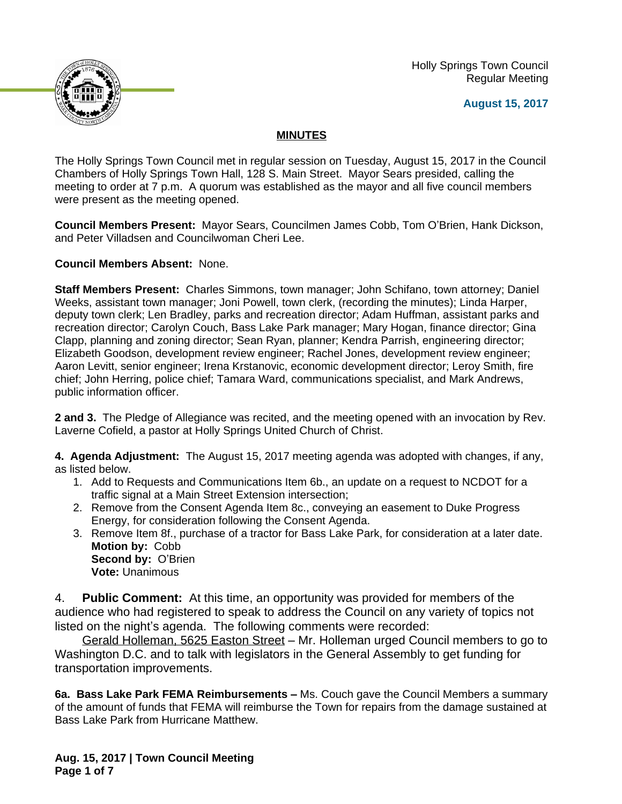Holly Springs Town Council Regular Meeting





## **MINUTES**

The Holly Springs Town Council met in regular session on Tuesday, August 15, 2017 in the Council Chambers of Holly Springs Town Hall, 128 S. Main Street. Mayor Sears presided, calling the meeting to order at 7 p.m. A quorum was established as the mayor and all five council members were present as the meeting opened.

**Council Members Present:** Mayor Sears, Councilmen James Cobb, Tom O'Brien, Hank Dickson, and Peter Villadsen and Councilwoman Cheri Lee.

**Council Members Absent:** None.

**Staff Members Present:** Charles Simmons, town manager; John Schifano, town attorney; Daniel Weeks, assistant town manager; Joni Powell, town clerk, (recording the minutes); Linda Harper, deputy town clerk; Len Bradley, parks and recreation director; Adam Huffman, assistant parks and recreation director; Carolyn Couch, Bass Lake Park manager; Mary Hogan, finance director; Gina Clapp, planning and zoning director; Sean Ryan, planner; Kendra Parrish, engineering director; Elizabeth Goodson, development review engineer; Rachel Jones, development review engineer; Aaron Levitt, senior engineer; Irena Krstanovic, economic development director; Leroy Smith, fire chief; John Herring, police chief; Tamara Ward, communications specialist, and Mark Andrews, public information officer.

**2 and 3.** The Pledge of Allegiance was recited, and the meeting opened with an invocation by Rev. Laverne Cofield, a pastor at Holly Springs United Church of Christ.

**4. Agenda Adjustment:** The August 15, 2017 meeting agenda was adopted with changes, if any, as listed below.

- 1. Add to Requests and Communications Item 6b., an update on a request to NCDOT for a traffic signal at a Main Street Extension intersection;
- 2. Remove from the Consent Agenda Item 8c., conveying an easement to Duke Progress Energy, for consideration following the Consent Agenda.
- 3. Remove Item 8f., purchase of a tractor for Bass Lake Park, for consideration at a later date. **Motion by:** Cobb **Second by:** O'Brien **Vote:** Unanimous

4. **Public Comment:** At this time, an opportunity was provided for members of the audience who had registered to speak to address the Council on any variety of topics not listed on the night's agenda. The following comments were recorded:

Gerald Holleman, 5625 Easton Street – Mr. Holleman urged Council members to go to Washington D.C. and to talk with legislators in the General Assembly to get funding for transportation improvements.

**6a. Bass Lake Park FEMA Reimbursements –** Ms. Couch gave the Council Members a summary of the amount of funds that FEMA will reimburse the Town for repairs from the damage sustained at Bass Lake Park from Hurricane Matthew.

**Aug. 15, 2017 | Town Council Meeting Page 1 of 7**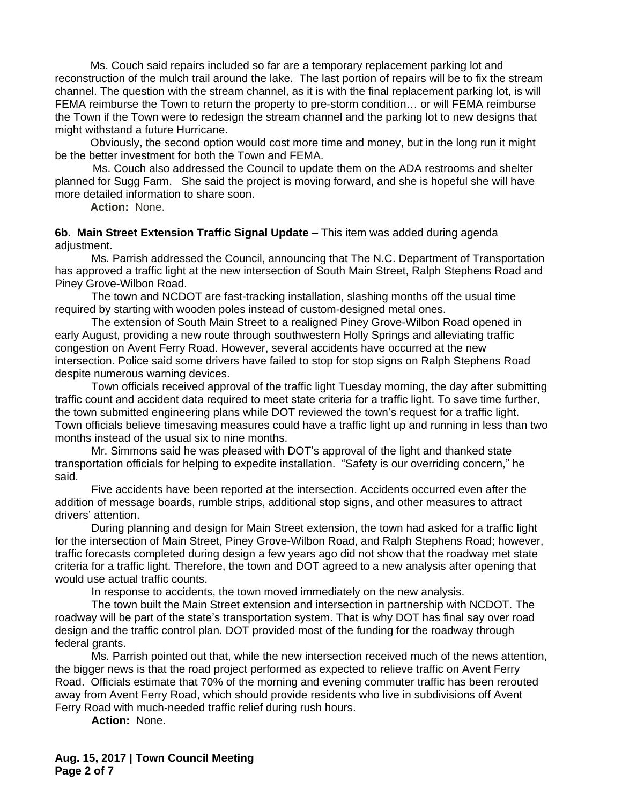Ms. Couch said repairs included so far are a temporary replacement parking lot and reconstruction of the mulch trail around the lake. The last portion of repairs will be to fix the stream channel. The question with the stream channel, as it is with the final replacement parking lot, is will FEMA reimburse the Town to return the property to pre-storm condition… or will FEMA reimburse the Town if the Town were to redesign the stream channel and the parking lot to new designs that might withstand a future Hurricane.

Obviously, the second option would cost more time and money, but in the long run it might be the better investment for both the Town and FEMA.

Ms. Couch also addressed the Council to update them on the ADA restrooms and shelter planned for Sugg Farm. She said the project is moving forward, and she is hopeful she will have more detailed information to share soon.

**Action:** None.

**6b. Main Street Extension Traffic Signal Update** – This item was added during agenda adjustment.

Ms. Parrish addressed the Council, announcing that The N.C. Department of Transportation has approved a traffic light at the new intersection of South Main Street, Ralph Stephens Road and Piney Grove-Wilbon Road.

The town and NCDOT are fast-tracking installation, slashing months off the usual time required by starting with wooden poles instead of custom-designed metal ones.

The extension of South Main Street to a realigned Piney Grove-Wilbon Road opened in early August, providing a new route through southwestern Holly Springs and alleviating traffic congestion on Avent Ferry Road. However, several accidents have occurred at the new intersection. Police said some drivers have failed to stop for stop signs on Ralph Stephens Road despite numerous warning devices.

Town officials received approval of the traffic light Tuesday morning, the day after submitting traffic count and accident data required to meet state criteria for a traffic light. To save time further, the town submitted engineering plans while DOT reviewed the town's request for a traffic light. Town officials believe timesaving measures could have a traffic light up and running in less than two months instead of the usual six to nine months.

Mr. Simmons said he was pleased with DOT's approval of the light and thanked state transportation officials for helping to expedite installation. "Safety is our overriding concern," he said.

Five accidents have been reported at the intersection. Accidents occurred even after the addition of message boards, rumble strips, additional stop signs, and other measures to attract drivers' attention.

During planning and design for Main Street extension, the town had asked for a traffic light for the intersection of Main Street, Piney Grove-Wilbon Road, and Ralph Stephens Road; however, traffic forecasts completed during design a few years ago did not show that the roadway met state criteria for a traffic light. Therefore, the town and DOT agreed to a new analysis after opening that would use actual traffic counts.

In response to accidents, the town moved immediately on the new analysis.

The town built the Main Street extension and intersection in partnership with NCDOT. The roadway will be part of the state's transportation system. That is why DOT has final say over road design and the traffic control plan. DOT provided most of the funding for the roadway through federal grants.

Ms. Parrish pointed out that, while the new intersection received much of the news attention, the bigger news is that the road project performed as expected to relieve traffic on Avent Ferry Road. Officials estimate that 70% of the morning and evening commuter traffic has been rerouted away from Avent Ferry Road, which should provide residents who live in subdivisions off Avent Ferry Road with much-needed traffic relief during rush hours.

**Action:** None.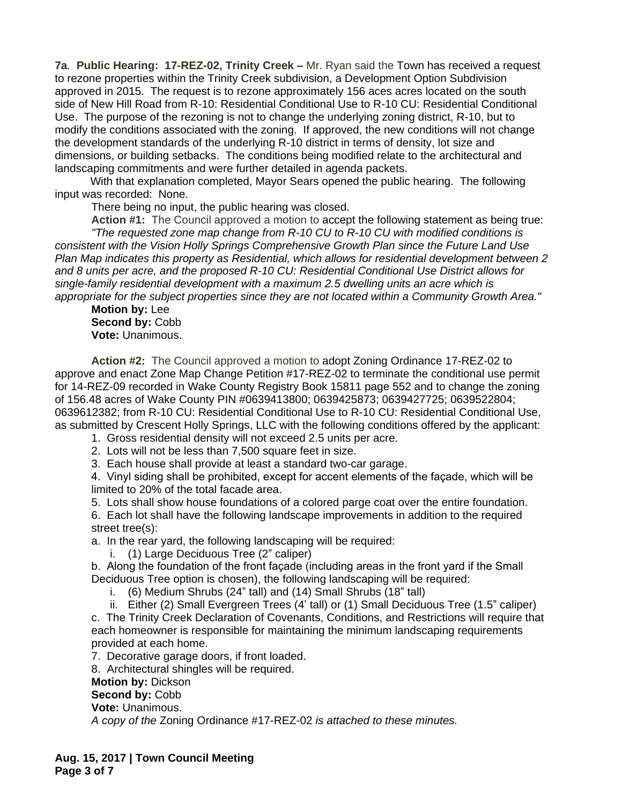**7a***.* **Public Hearing: 17-REZ-02, Trinity Creek –** Mr. Ryan said the Town has received a request to rezone properties within the Trinity Creek subdivision, a Development Option Subdivision approved in 2015. The request is to rezone approximately 156 aces acres located on the south side of New Hill Road from R-10: Residential Conditional Use to R-10 CU: Residential Conditional Use. The purpose of the rezoning is not to change the underlying zoning district, R-10, but to modify the conditions associated with the zoning. If approved, the new conditions will not change the development standards of the underlying R-10 district in terms of density, lot size and dimensions, or building setbacks. The conditions being modified relate to the architectural and landscaping commitments and were further detailed in agenda packets.

With that explanation completed, Mayor Sears opened the public hearing. The following input was recorded: None.

There being no input, the public hearing was closed.

**Action #1:** The Council approved a motion to accept the following statement as being true: *"The requested zone map change from R-10 CU to R-10 CU with modified conditions is consistent with the Vision Holly Springs Comprehensive Growth Plan since the Future Land Use Plan Map indicates this property as Residential, which allows for residential development between 2 and 8 units per acre, and the proposed R-10 CU: Residential Conditional Use District allows for single-family residential development with a maximum 2.5 dwelling units an acre which is appropriate for the subject properties since they are not located within a Community Growth Area."*

**Motion by:** Lee **Second by:** Cobb **Vote:** Unanimous.

**Action #2:** The Council approved a motion to adopt Zoning Ordinance 17-REZ-02 to approve and enact Zone Map Change Petition #17-REZ-02 to terminate the conditional use permit for 14-REZ-09 recorded in Wake County Registry Book 15811 page 552 and to change the zoning of 156.48 acres of Wake County PIN #0639413800; 0639425873; 0639427725; 0639522804; 0639612382; from R-10 CU: Residential Conditional Use to R-10 CU: Residential Conditional Use, as submitted by Crescent Holly Springs, LLC with the following conditions offered by the applicant:

1. Gross residential density will not exceed 2.5 units per acre.

2. Lots will not be less than 7,500 square feet in size.

3. Each house shall provide at least a standard two-car garage.

4. Vinyl siding shall be prohibited, except for accent elements of the façade, which will be limited to 20% of the total facade area.

5. Lots shall show house foundations of a colored parge coat over the entire foundation.

6. Each lot shall have the following landscape improvements in addition to the required street tree(s):

a. In the rear yard, the following landscaping will be required:

i. (1) Large Deciduous Tree (2" caliper)

b. Along the foundation of the front façade (including areas in the front yard if the Small Deciduous Tree option is chosen), the following landscaping will be required:

i. (6) Medium Shrubs (24" tall) and (14) Small Shrubs (18" tall)

 ii. Either (2) Small Evergreen Trees (4' tall) or (1) Small Deciduous Tree (1.5" caliper) c. The Trinity Creek Declaration of Covenants, Conditions, and Restrictions will require that each homeowner is responsible for maintaining the minimum landscaping requirements provided at each home.

7. Decorative garage doors, if front loaded.

8. Architectural shingles will be required.

**Motion by:** Dickson

Second by: Cobb

**Vote:** Unanimous.

*A copy of the* Zoning Ordinance #17-REZ-02 *is attached to these minutes.*

**Aug. 15, 2017 | Town Council Meeting Page 3 of 7**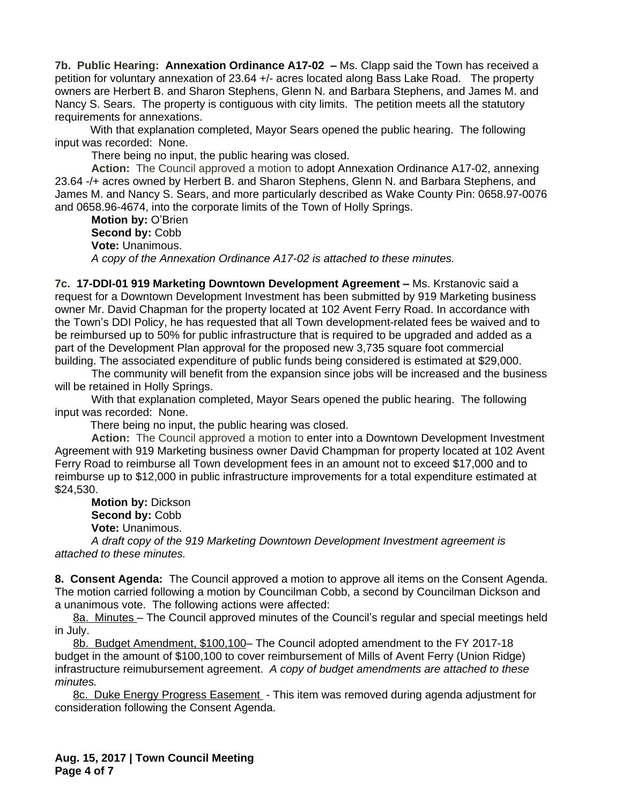**7b. Public Hearing: Annexation Ordinance A17-02 – Ms. Clapp said the Town has received a** petition for voluntary annexation of 23.64 +/- acres located along Bass Lake Road. The property owners are Herbert B. and Sharon Stephens, Glenn N. and Barbara Stephens, and James M. and Nancy S. Sears. The property is contiguous with city limits. The petition meets all the statutory requirements for annexations.

With that explanation completed, Mayor Sears opened the public hearing. The following input was recorded: None.

There being no input, the public hearing was closed.

**Action:** The Council approved a motion to adopt Annexation Ordinance A17-02, annexing 23.64 -/+ acres owned by Herbert B. and Sharon Stephens, Glenn N. and Barbara Stephens, and James M. and Nancy S. Sears, and more particularly described as Wake County Pin: 0658.97-0076 and 0658.96-4674, into the corporate limits of the Town of Holly Springs.

**Motion by:** O'Brien **Second by:** Cobb **Vote:** Unanimous. *A copy of the Annexation Ordinance A17-02 is attached to these minutes.*

**7c. 17-DDI-01 919 Marketing Downtown Development Agreement –** Ms. Krstanovic said a request for a Downtown Development Investment has been submitted by 919 Marketing business owner Mr. David Chapman for the property located at 102 Avent Ferry Road. In accordance with the Town's DDI Policy, he has requested that all Town development-related fees be waived and to be reimbursed up to 50% for public infrastructure that is required to be upgraded and added as a part of the Development Plan approval for the proposed new 3,735 square foot commercial building. The associated expenditure of public funds being considered is estimated at \$29,000.

The community will benefit from the expansion since jobs will be increased and the business will be retained in Holly Springs.

With that explanation completed, Mayor Sears opened the public hearing. The following input was recorded: None.

There being no input, the public hearing was closed.

**Action:** The Council approved a motion to enter into a Downtown Development Investment Agreement with 919 Marketing business owner David Champman for property located at 102 Avent Ferry Road to reimburse all Town development fees in an amount not to exceed \$17,000 and to reimburse up to \$12,000 in public infrastructure improvements for a total expenditure estimated at \$24,530.

**Motion by:** Dickson **Second by:** Cobb **Vote:** Unanimous.

*A draft copy of the 919 Marketing Downtown Development Investment agreement is attached to these minutes.*

**8. Consent Agenda:** The Council approved a motion to approve all items on the Consent Agenda. The motion carried following a motion by Councilman Cobb, a second by Councilman Dickson and a unanimous vote. The following actions were affected:

8a. Minutes - The Council approved minutes of the Council's regular and special meetings held in July.

8b. Budget Amendment, \$100,100– The Council adopted amendment to the FY 2017-18 budget in the amount of \$100,100 to cover reimbursement of Mills of Avent Ferry (Union Ridge) infrastructure reimubursement agreement. *A copy of budget amendments are attached to these minutes.*

8c. Duke Energy Progress Easement - This item was removed during agenda adjustment for consideration following the Consent Agenda.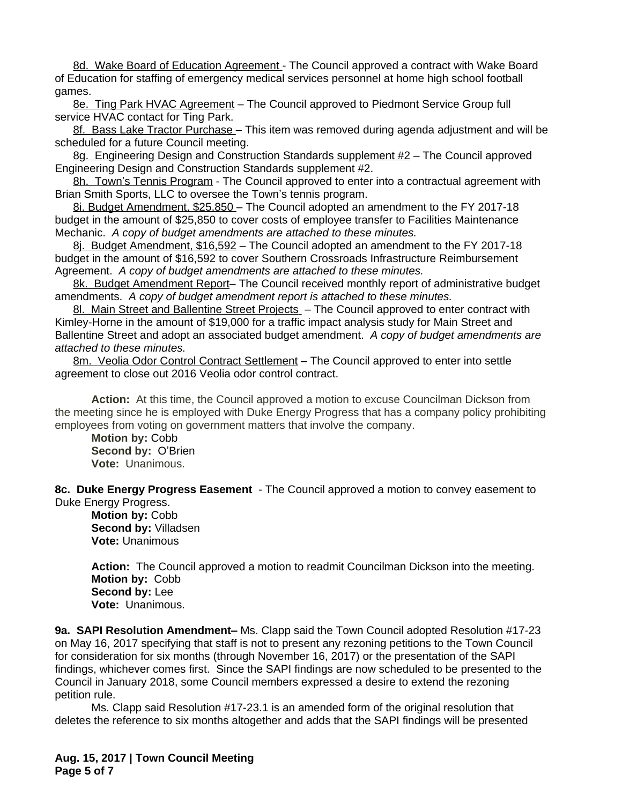8d. Wake Board of Education Agreement - The Council approved a contract with Wake Board of Education for staffing of emergency medical services personnel at home high school football games.

8e. Ting Park HVAC Agreement – The Council approved to Piedmont Service Group full service HVAC contact for Ting Park.

8f. Bass Lake Tractor Purchase – This item was removed during agenda adjustment and will be scheduled for a future Council meeting.

8g. Engineering Design and Construction Standards supplement #2 – The Council approved Engineering Design and Construction Standards supplement #2.

8h. Town's Tennis Program - The Council approved to enter into a contractual agreement with Brian Smith Sports, LLC to oversee the Town's tennis program.

8i. Budget Amendment, \$25,850 – The Council adopted an amendment to the FY 2017-18 budget in the amount of \$25,850 to cover costs of employee transfer to Facilities Maintenance Mechanic. *A copy of budget amendments are attached to these minutes.*

8j. Budget Amendment, \$16,592 – The Council adopted an amendment to the FY 2017-18 budget in the amount of \$16,592 to cover Southern Crossroads Infrastructure Reimbursement Agreement.*A copy of budget amendments are attached to these minutes.*

8k. Budget Amendment Report- The Council received monthly report of administrative budget amendments. *A copy of budget amendment report is attached to these minutes.*

8l. Main Street and Ballentine Street Projects - The Council approved to enter contract with Kimley-Horne in the amount of \$19,000 for a traffic impact analysis study for Main Street and Ballentine Street and adopt an associated budget amendment. *A copy of budget amendments are attached to these minutes.*

8m. Veolia Odor Control Contract Settlement – The Council approved to enter into settle agreement to close out 2016 Veolia odor control contract.

**Action:** At this time, the Council approved a motion to excuse Councilman Dickson from the meeting since he is employed with Duke Energy Progress that has a company policy prohibiting employees from voting on government matters that involve the company.

**Motion by:** Cobb **Second by:** O'Brien **Vote:** Unanimous.

**8c. Duke Energy Progress Easement** - The Council approved a motion to convey easement to Duke Energy Progress.

**Motion by:** Cobb **Second by:** Villadsen **Vote:** Unanimous

**Action:** The Council approved a motion to readmit Councilman Dickson into the meeting. **Motion by:** Cobb **Second by:** Lee **Vote:** Unanimous.

**9a. SAPI Resolution Amendment–** Ms. Clapp said the Town Council adopted Resolution #17-23 on May 16, 2017 specifying that staff is not to present any rezoning petitions to the Town Council for consideration for six months (through November 16, 2017) or the presentation of the SAPI findings, whichever comes first. Since the SAPI findings are now scheduled to be presented to the Council in January 2018, some Council members expressed a desire to extend the rezoning petition rule.

Ms. Clapp said Resolution #17-23.1 is an amended form of the original resolution that deletes the reference to six months altogether and adds that the SAPI findings will be presented

**Aug. 15, 2017 | Town Council Meeting Page 5 of 7**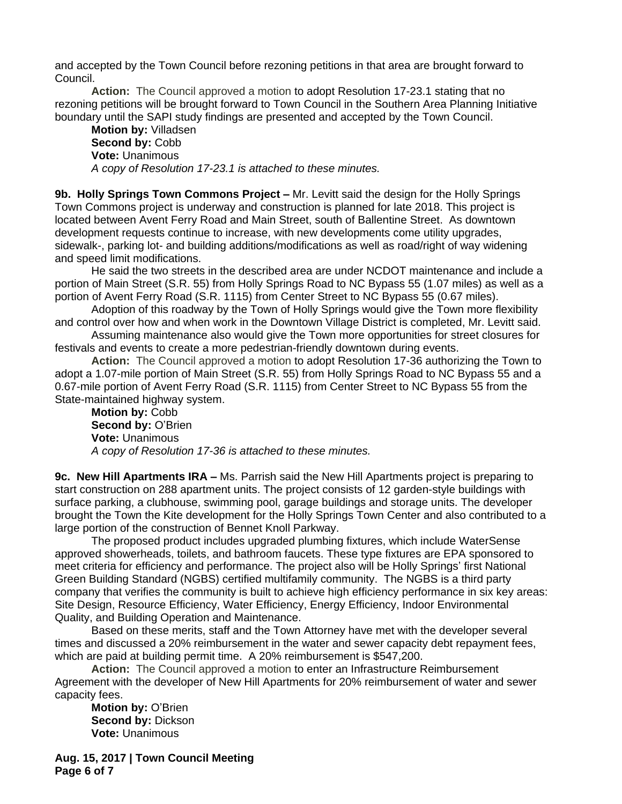and accepted by the Town Council before rezoning petitions in that area are brought forward to Council.

**Action:** The Council approved a motion to adopt Resolution 17-23.1 stating that no rezoning petitions will be brought forward to Town Council in the Southern Area Planning Initiative boundary until the SAPI study findings are presented and accepted by the Town Council.

**Motion by:** Villadsen Second by: Cobb **Vote:** Unanimous *A copy of Resolution 17-23.1 is attached to these minutes.*

**9b. Holly Springs Town Commons Project –** Mr. Levitt said the design for the Holly Springs Town Commons project is underway and construction is planned for late 2018. This project is located between Avent Ferry Road and Main Street, south of Ballentine Street. As downtown development requests continue to increase, with new developments come utility upgrades, sidewalk-, parking lot- and building additions/modifications as well as road/right of way widening and speed limit modifications.

He said the two streets in the described area are under NCDOT maintenance and include a portion of Main Street (S.R. 55) from Holly Springs Road to NC Bypass 55 (1.07 miles) as well as a portion of Avent Ferry Road (S.R. 1115) from Center Street to NC Bypass 55 (0.67 miles).

Adoption of this roadway by the Town of Holly Springs would give the Town more flexibility and control over how and when work in the Downtown Village District is completed, Mr. Levitt said.

Assuming maintenance also would give the Town more opportunities for street closures for festivals and events to create a more pedestrian-friendly downtown during events.

**Action:** The Council approved a motion to adopt Resolution 17-36 authorizing the Town to adopt a 1.07-mile portion of Main Street (S.R. 55) from Holly Springs Road to NC Bypass 55 and a 0.67-mile portion of Avent Ferry Road (S.R. 1115) from Center Street to NC Bypass 55 from the State-maintained highway system.

**Motion by:** Cobb **Second by: O'Brien Vote:** Unanimous *A copy of Resolution 17-36 is attached to these minutes.*

**9c. New Hill Apartments IRA –** Ms. Parrish said the New Hill Apartments project is preparing to start construction on 288 apartment units. The project consists of 12 garden-style buildings with surface parking, a clubhouse, swimming pool, garage buildings and storage units. The developer brought the Town the Kite development for the Holly Springs Town Center and also contributed to a large portion of the construction of Bennet Knoll Parkway.

The proposed product includes upgraded plumbing fixtures, which include WaterSense approved showerheads, toilets, and bathroom faucets. These type fixtures are EPA sponsored to meet criteria for efficiency and performance. The project also will be Holly Springs' first National Green Building Standard (NGBS) certified multifamily community. The NGBS is a third party company that verifies the community is built to achieve high efficiency performance in six key areas: Site Design, Resource Efficiency, Water Efficiency, Energy Efficiency, Indoor Environmental Quality, and Building Operation and Maintenance.

Based on these merits, staff and the Town Attorney have met with the developer several times and discussed a 20% reimbursement in the water and sewer capacity debt repayment fees, which are paid at building permit time. A 20% reimbursement is \$547,200.

**Action:** The Council approved a motion to enter an Infrastructure Reimbursement Agreement with the developer of New Hill Apartments for 20% reimbursement of water and sewer capacity fees.

**Motion by:** O'Brien **Second by:** Dickson **Vote:** Unanimous

**Aug. 15, 2017 | Town Council Meeting Page 6 of 7**